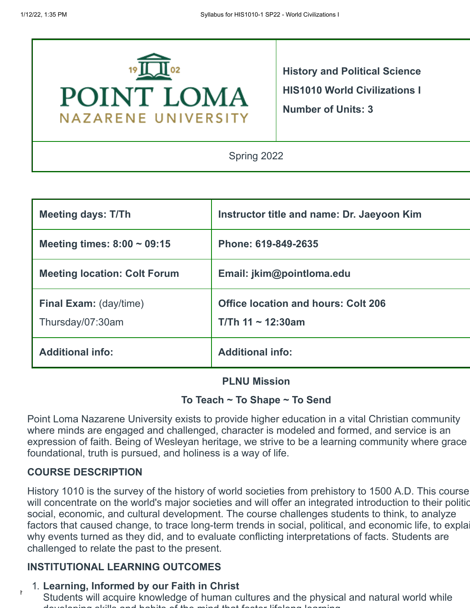

**History and Political Science HIS1010 World Civilizations I Number of Units: 3**

Spring 2022

| <b>Meeting days: T/Th</b>                         | Instructor title and name: Dr. Jaeyoon Kim                        |
|---------------------------------------------------|-------------------------------------------------------------------|
| Meeting times: $8:00 \sim 09:15$                  | Phone: 619-849-2635                                               |
| <b>Meeting location: Colt Forum</b>               | Email: jkim@pointloma.edu                                         |
| <b>Final Exam: (day/time)</b><br>Thursday/07:30am | <b>Office location and hours: Colt 206</b><br>$T/Th$ 11 ~ 12:30am |
| <b>Additional info:</b>                           | <b>Additional info:</b>                                           |

#### **PLNU Mission**

## **To Teach ~ To Shape ~ To Send**

Point Loma Nazarene University exists to provide higher education in a vital Christian community where minds are engaged and challenged, character is modeled and formed, and service is an expression of faith. Being of Wesleyan heritage, we strive to be a learning community where grace foundational, truth is pursued, and holiness is a way of life.

# **COURSE DESCRIPTION**

History 1010 is the survey of the history of world societies from prehistory to 1500 A.D. This course will concentrate on the world's major societies and will offer an integrated introduction to their politic social, economic, and cultural development. The course challenges students to think, to analyze factors that caused change, to trace long-term trends in social, political, and economic life, to explai why events turned as they did, and to evaluate conflicting interpretations of facts. Students are challenged to relate the past to the present.

# **INSTITUTIONAL LEARNING OUTCOMES**

## 1. **Learning, Informed by our Faith in Christ**

students will acquire knowledge of human cultures and the physical and natural world while developing skills and habits of the mind that foster lifelong learning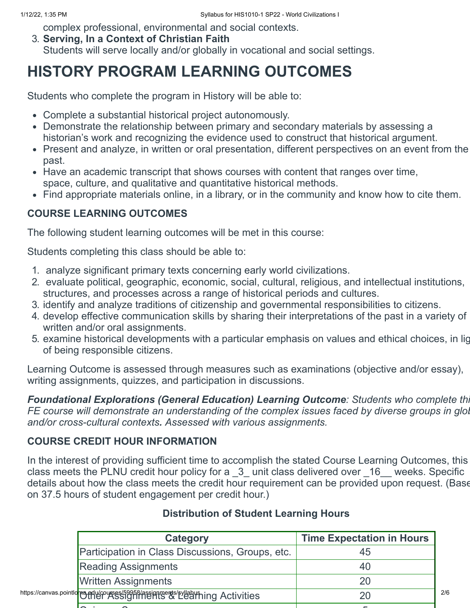complex professional, environmental and social contexts.

3. **Serving, In a Context of Christian Faith**

Students will serve locally and/or globally in vocational and social settings.

# **HISTORY PROGRAM LEARNING OUTCOMES**

Students who complete the program in History will be able to:

- Complete a substantial historical project autonomously.
- Demonstrate the relationship between primary and secondary materials by assessing a historian's work and recognizing the evidence used to construct that historical argument.
- Present and analyze, in written or oral presentation, different perspectives on an event from the past.
- Have an academic transcript that shows courses with content that ranges over time, space, culture, and qualitative and quantitative historical methods.
- Find appropriate materials online, in a library, or in the community and know how to cite them.

# **COURSE LEARNING OUTCOMES**

The following student learning outcomes will be met in this course:

Students completing this class should be able to:

- 1. analyze significant primary texts concerning early world civilizations.
- 2. evaluate political, geographic, economic, social, cultural, religious, and intellectual institutions, structures, and processes across a range of historical periods and cultures.
- 3. identify and analyze traditions of citizenship and governmental responsibilities to citizens.
- 4. develop effective communication skills by sharing their interpretations of the past in a variety of written and/or oral assignments.
- 5. examine historical developments with a particular emphasis on values and ethical choices, in lig of being responsible citizens.

Learning Outcome is assessed through measures such as examinations (objective and/or essay), writing assignments, quizzes, and participation in discussions.

*Foundational Explorations (General Education) Learning Outcome: Students who complete thi FE course will demonstrate an understanding of the complex issues faced by diverse groups in glob and/or cross-cultural contexts. Assessed with various assignments.*

# **COURSE CREDIT HOUR INFORMATION**

In the interest of providing sufficient time to accomplish the stated Course Learning Outcomes, this class meets the PLNU credit hour policy for a  $-3$  unit class delivered over  $-16$  weeks. Specific details about how the class meets the credit hour requirement can be provided upon request. (Base on 37.5 hours of student engagement per credit hour.)

| Category                                                                                      | <b>Time Expectation in Hours</b> |     |
|-----------------------------------------------------------------------------------------------|----------------------------------|-----|
| Participation in Class Discussions, Groups, etc.                                              | 45                               |     |
| <b>Reading Assignments</b>                                                                    |                                  |     |
| <b>Written Assignments</b>                                                                    |                                  |     |
| https://canvas.pointlo <mark>me.en/ucourses/59958/assignment</mark> s/pyllaby?ning Activities |                                  | 2/6 |
|                                                                                               |                                  |     |

# **Distribution of Student Learning Hours**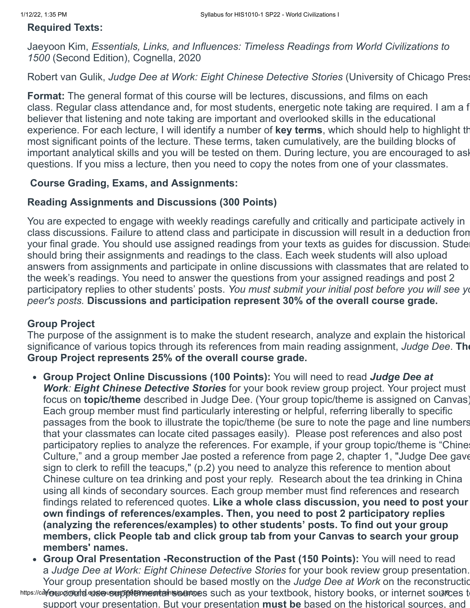## **Required Texts:**

Jaeyoon Kim, *Essentials, Links, and Influences: Timeless Readings from World Civilizations to 1500* (Second Edition), Cognella, 2020

Robert van Gulik, *Judge Dee at Work: Eight Chinese Detective Stories* (University of Chicago Press

**Format:** The general format of this course will be lectures, discussions, and films on each class. Regular class attendance and, for most students, energetic note taking are required. I am a f believer that listening and note taking are important and overlooked skills in the educational experience. For each lecture, I will identify a number of **key terms**, which should help to highlight th most significant points of the lecture. These terms, taken cumulatively, are the building blocks of important analytical skills and you will be tested on them. During lecture, you are encouraged to ask questions. If you miss a lecture, then you need to copy the notes from one of your classmates.

## **Course Grading, Exams, and Assignments:**

## **Reading Assignments and Discussions (300 Points)**

You are expected to engage with weekly readings carefully and critically and participate actively in class discussions. Failure to attend class and participate in discussion will result in a deduction from your final grade. You should use assigned readings from your texts as guides for discussion. Studen should bring their assignments and readings to the class. Each week students will also upload answers from assignments and participate in online discussions with classmates that are related to the week's readings. You need to answer the questions from your assigned readings and post 2 participatory replies to other students' posts. *You must submit your initial post before you will see yo peer's posts.* **Discussions and participation represent 30% of the overall course grade.**

## **Group Project**

The purpose of the assignment is to make the student research, analyze and explain the historical significance of various topics through its references from main reading assignment, *Judge Dee*. **The Group Project represents 25% of the overall course grade.**

- **Group Project Online Discussions (100 Points):** You will need to read *Judge Dee at Work: Eight Chinese Detective Stories* for your book review group project. Your project must focus on **topic/theme** described in Judge Dee. (Your group topic/theme is assigned on Canvas) Each group member must find particularly interesting or helpful, referring liberally to specific passages from the book to illustrate the topic/theme (be sure to note the page and line numbers that your classmates can locate cited passages easily). Please post references and also post participatory replies to analyze the references. For example, if your group topic/theme is "Chines Culture," and a group member Jae posted a reference from page 2, chapter 1, "Judge Dee gave sign to clerk to refill the teacups," (p.2) you need to analyze this reference to mention about Chinese culture on tea drinking and post your reply. Research about the tea drinking in China using all kinds of secondary sources. Each group member must find references and research findings related to referenced quotes. **Like a whole class discussion, you need to post your own findings of references/examples. Then, you need to post 2 participatory replies (analyzing the references/examples) to other students' posts. To find out your group members, click People tab and click group tab from your Canvas to search your group members' names.**
- **Group Oral Presentation -Reconstruction of the Past (150 Points):** You will need to read a *Judge Dee at Work: Eight Chinese Detective Stories* for your book review group presentation. Your group presentation should be based mostly on the *Judge Dee at Work* on the reconstructio

https://ca**Y@sipoioibrel.eduseuser/59469/asemtæh\soulatoe**s such as your textbook, history books, or internet sou**rc**es to support your presentation. But your presentation **must be** based on the historical sources, and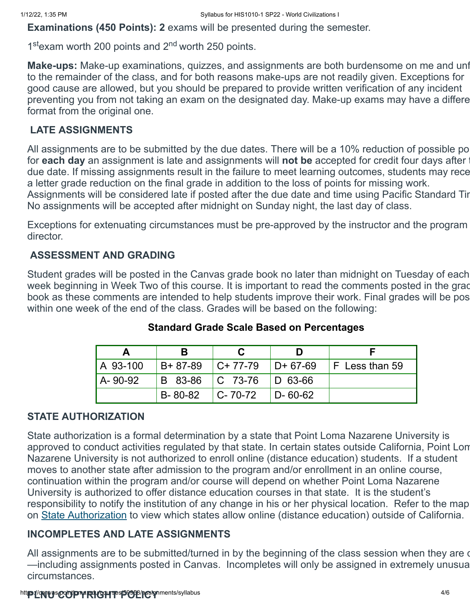director.

**Examinations (450 Points): 2** exams will be presented during the semester.

1<sup>st</sup> exam worth 200 points and 2<sup>nd</sup> worth 250 points.

**Make-ups:** Make-up examinations, quizzes, and assignments are both burdensome on me and unf to the remainder of the class, and for both reasons make-ups are not readily given. Exceptions for good cause are allowed, but you should be prepared to provide written verification of any incident preventing you from not taking an exam on the designated day. Make-up exams may have a differe format from the original one.

## **LATE ASSIGNMENTS**

All assignments are to be submitted by the due dates. There will be a 10% reduction of possible po for **each day** an assignment is late and assignments will **not be** accepted for credit four days after t due date. If missing assignments result in the failure to meet learning outcomes, students may rece a letter grade reduction on the final grade in addition to the loss of points for missing work. Assignments will be considered late if posted after the due date and time using Pacific Standard Tir No assignments will be accepted after midnight on Sunday night, the last day of class.

Exceptions for extenuating circumstances must be pre-approved by the instructor and the program

# **ASSESSMENT AND GRADING**

Student grades will be posted in the Canvas grade book no later than midnight on Tuesday of each week beginning in Week Two of this course. It is important to read the comments posted in the grad book as these comments are intended to help students improve their work. Final grades will be pos within one week of the end of the class. Grades will be based on the following:

| A 93-100 |         | $IB+ 87-89$ $IC+ 77-79$ $ID+ 67-69$ |                | $F$ Less than 59 |
|----------|---------|-------------------------------------|----------------|------------------|
| A-90-92  |         | B 83-86   C 73-76   D 63-66         |                |                  |
|          | B-80-82 | $C - 70 - 72$                       | $ID - 60 - 62$ |                  |

## **Standard Grade Scale Based on Percentages**

# **STATE AUTHORIZATION**

State authorization is a formal determination by a state that Point Loma Nazarene University is approved to conduct activities regulated by that state. In certain states outside California, Point Lom Nazarene University is not authorized to enroll online (distance education) students. If a student moves to another state after admission to the program and/or enrollment in an online course, continuation within the program and/or course will depend on whether Point Loma Nazarene University is authorized to offer distance education courses in that state. It is the student's responsibility to notify the institution of any change in his or her physical location. Refer to the map on [State Authorization](https://www.pointloma.edu/offices/office-institutional-effectiveness-research/disclosures) to view which states allow online (distance education) outside of California.

## **INCOMPLETES AND LATE ASSIGNMENTS**

All assignments are to be submitted/turned in by the beginning of the class session when they are de-—including assignments posted in Canvas. Incompletes will only be assigned in extremely unusua circumstances.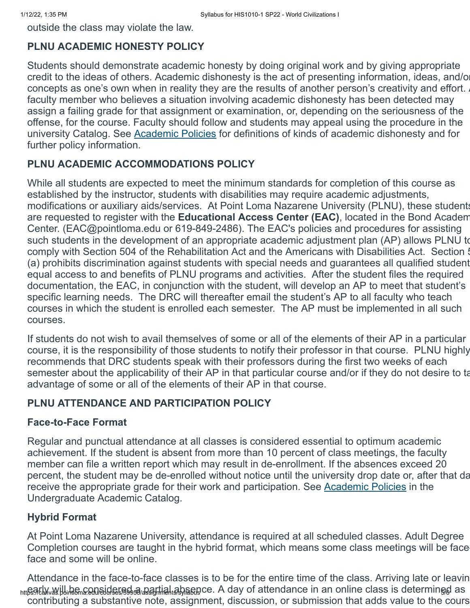outside the class may violate the law.

#### **PLNU ACADEMIC HONESTY POLICY**

Students should demonstrate academic honesty by doing original work and by giving appropriate credit to the ideas of others. Academic dishonesty is the act of presenting information, ideas, and/or concepts as one's own when in reality they are the results of another person's creativity and effort. faculty member who believes a situation involving academic dishonesty has been detected may assign a failing grade for that assignment or examination, or, depending on the seriousness of the offense, for the course. Faculty should follow and students may appeal using the procedure in the university Catalog. See [Academic Policies](http://catalog.pointloma.edu/content.php?catoid=18&navoid=1278) for definitions of kinds of academic dishonesty and for further policy information.

#### **PLNU ACADEMIC ACCOMMODATIONS POLICY**

While all students are expected to meet the minimum standards for completion of this course as established by the instructor, students with disabilities may require academic adjustments, modifications or auxiliary aids/services. At Point Loma Nazarene University (PLNU), these students are requested to register with the **Educational Access Center (EAC)**, located in the Bond Academ Center. (EAC@pointloma.edu or 619-849-2486). The EAC's policies and procedures for assisting such students in the development of an appropriate academic adjustment plan (AP) allows PLNU to comply with Section 504 of the Rehabilitation Act and the Americans with Disabilities Act. Section 5 (a) prohibits discrimination against students with special needs and guarantees all qualified student equal access to and benefits of PLNU programs and activities. After the student files the required documentation, the EAC, in conjunction with the student, will develop an AP to meet that student's specific learning needs. The DRC will thereafter email the student's AP to all faculty who teach courses in which the student is enrolled each semester. The AP must be implemented in all such courses.

If students do not wish to avail themselves of some or all of the elements of their AP in a particular course, it is the responsibility of those students to notify their professor in that course. PLNU highly recommends that DRC students speak with their professors during the first two weeks of each semester about the applicability of their AP in that particular course and/or if they do not desire to ta advantage of some or all of the elements of their AP in that course.

#### **PLNU ATTENDANCE AND PARTICIPATION POLICY**

#### **Face-to-Face Format**

Regular and punctual attendance at all classes is considered essential to optimum academic achievement. If the student is absent from more than 10 percent of class meetings, the faculty member can file a written report which may result in de-enrollment. If the absences exceed 20 percent, the student may be de-enrolled without notice until the university drop date or, after that da receive the appropriate grade for their work and participation. See [Academic Policies](http://catalog.pointloma.edu/content.php?catoid=18&navoid=1278) in the Undergraduate Academic Catalog.

## **Hybrid Format**

At Point Loma Nazarene University, attendance is required at all scheduled classes. Adult Degree Completion courses are taught in the hybrid format, which means some class meetings will be faceface and some will be online.

<sub>htt</sub>es/եկ/will be considered *a partial a*bsence. A day of attendance in an online class is determined as Attendance in the face-to-face classes is to be for the entire time of the class. Arriving late or leavin contributing a substantive note, assignment, discussion, or submission that adds value to the cours